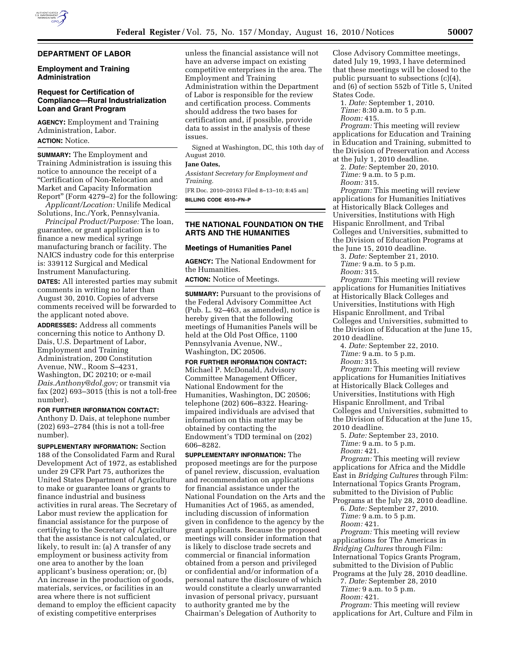## **DEPARTMENT OF LABOR**

## **Employment and Training Administration**

# **Request for Certification of Compliance—Rural Industrialization Loan and Grant Program**

**AGENCY:** Employment and Training Administration, Labor. **ACTION:** Notice.

**SUMMARY:** The Employment and Training Administration is issuing this notice to announce the receipt of a ''Certification of Non-Relocation and Market and Capacity Information Report'' (Form 4279–2) for the following:

*Applicant/Location:* Unilife Medical Solutions, Inc./York, Pennsylvania.

*Principal Product/Purpose:* The loan, guarantee, or grant application is to finance a new medical syringe manufacturing branch or facility. The NAICS industry code for this enterprise is: 339112 Surgical and Medical Instrument Manufacturing.

**DATES:** All interested parties may submit comments in writing no later than August 30, 2010. Copies of adverse comments received will be forwarded to the applicant noted above.

**ADDRESSES:** Address all comments concerning this notice to Anthony D. Dais, U.S. Department of Labor, Employment and Training Administration, 200 Constitution Avenue, NW., Room S–4231, Washington, DC 20210; or e-mail *[Dais.Anthony@dol.gov;](mailto:Dais.Anthony@dol.gov)* or transmit via fax (202) 693–3015 (this is not a toll-free number).

### **FOR FURTHER INFORMATION CONTACT:**

Anthony D. Dais, at telephone number (202) 693–2784 (this is not a toll-free number).

**SUPPLEMENTARY INFORMATION:** Section 188 of the Consolidated Farm and Rural Development Act of 1972, as established under 29 CFR Part 75, authorizes the United States Department of Agriculture to make or guarantee loans or grants to finance industrial and business activities in rural areas. The Secretary of Labor must review the application for financial assistance for the purpose of certifying to the Secretary of Agriculture that the assistance is not calculated, or likely, to result in: (a) A transfer of any employment or business activity from one area to another by the loan applicant's business operation; or, (b) An increase in the production of goods, materials, services, or facilities in an area where there is not sufficient demand to employ the efficient capacity of existing competitive enterprises

unless the financial assistance will not have an adverse impact on existing competitive enterprises in the area. The Employment and Training Administration within the Department of Labor is responsible for the review and certification process. Comments should address the two bases for certification and, if possible, provide data to assist in the analysis of these issues.

Signed at Washington, DC, this 10th day of August 2010.

## **Jane Oates,**

*Assistant Secretary for Employment and Training.* 

[FR Doc. 2010–20163 Filed 8–13–10; 8:45 am] **BILLING CODE 4510–FN–P** 

# **THE NATIONAL FOUNDATION ON THE ARTS AND THE HUMANITIES**

### **Meetings of Humanities Panel**

**AGENCY:** The National Endowment for the Humanities.

**ACTION:** Notice of Meetings.

**SUMMARY:** Pursuant to the provisions of the Federal Advisory Committee Act (Pub. L. 92–463, as amended), notice is hereby given that the following meetings of Humanities Panels will be held at the Old Post Office, 1100 Pennsylvania Avenue, NW., Washington, DC 20506.

# **FOR FURTHER INFORMATION CONTACT:**

Michael P. McDonald, Advisory Committee Management Officer, National Endowment for the Humanities, Washington, DC 20506; telephone (202) 606–8322. Hearingimpaired individuals are advised that information on this matter may be obtained by contacting the Endowment's TDD terminal on (202) 606–8282.

**SUPPLEMENTARY INFORMATION:** The proposed meetings are for the purpose of panel review, discussion, evaluation and recommendation on applications for financial assistance under the National Foundation on the Arts and the Humanities Act of 1965, as amended, including discussion of information given in confidence to the agency by the grant applicants. Because the proposed meetings will consider information that is likely to disclose trade secrets and commercial or financial information obtained from a person and privileged or confidential and/or information of a personal nature the disclosure of which would constitute a clearly unwarranted invasion of personal privacy, pursuant to authority granted me by the Chairman's Delegation of Authority to

Close Advisory Committee meetings, dated July 19, 1993, I have determined that these meetings will be closed to the public pursuant to subsections (c)(4), and (6) of section 552b of Title 5, United States Code.

1. *Date:* September 1, 2010. *Time:* 8:30 a.m. to 5 p.m.

*Room:* 415.

*Program:* This meeting will review applications for Education and Training in Education and Training, submitted to the Division of Preservation and Access at the July 1, 2010 deadline.

2. *Date:* September 20, 2010.

*Time:* 9 a.m. to 5 p.m.

*Room:* 315.

*Program:* This meeting will review applications for Humanities Initiatives at Historically Black Colleges and Universities, Institutions with High Hispanic Enrollment, and Tribal Colleges and Universities, submitted to the Division of Education Programs at the June 15, 2010 deadline.

3. *Date:* September 21, 2010. *Time:* 9 a.m. to 5 p.m.

*Room:* 315.

*Program:* This meeting will review applications for Humanities Initiatives at Historically Black Colleges and Universities, Institutions with High Hispanic Enrollment, and Tribal Colleges and Universities, submitted to the Division of Education at the June 15, 2010 deadline.

4. *Date:* September 22, 2010.

*Time:* 9 a.m. to 5 p.m.

*Room:* 315.

*Program:* This meeting will review applications for Humanities Initiatives at Historically Black Colleges and Universities, Institutions with High Hispanic Enrollment, and Tribal Colleges and Universities, submitted to the Division of Education at the June 15, 2010 deadline.

5. *Date:* September 23, 2010. *Time:* 9 a.m. to 5 p.m. *Room:* 421.

*Program:* This meeting will review applications for Africa and the Middle East in *Bridging Cultures* through Film: International Topics Grants Program, submitted to the Division of Public

Programs at the July 28, 2010 deadline. 6. *Date:* September 27, 2010. *Time:* 9 a.m. to 5 p.m.

*Room:* 421.

*Program:* This meeting will review applications for The Americas in *Bridging Cultures* through Film: International Topics Grants Program, submitted to the Division of Public Programs at the July 28, 2010 deadline.

7. *Date:* September 28, 2010

*Time:* 9 a.m. to 5 p.m.

*Room:* 421.

*Program:* This meeting will review applications for Art, Culture and Film in